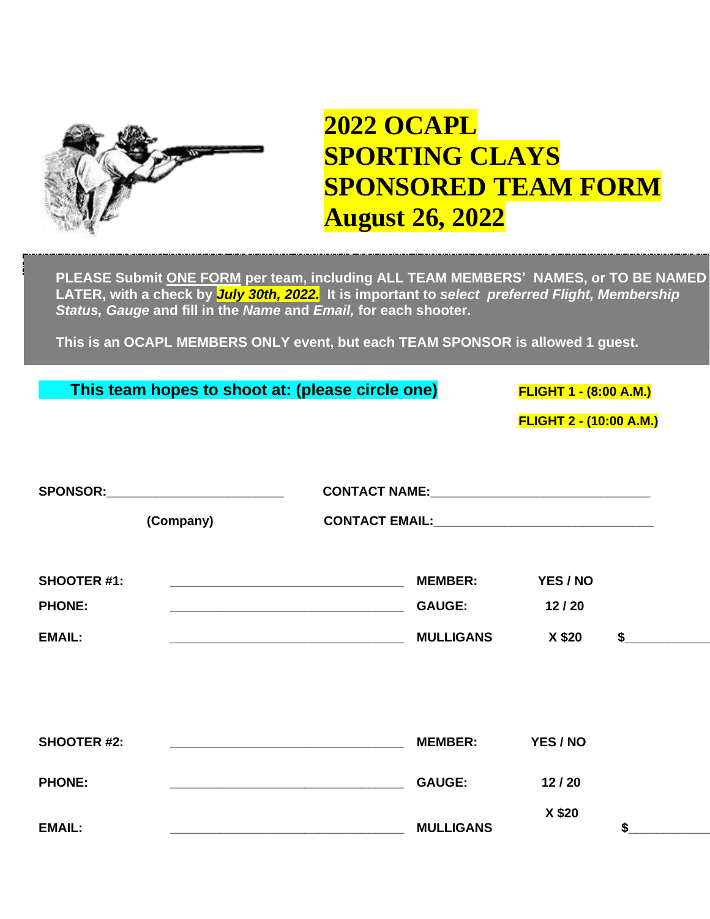

## **2022 OCAPL SPORTING CLAYS SPONSORED TEAM FORM August 26, 2022**

**PLEASE Submit ONE FORM per team, including ALL TEAM MEMBERS' NAMES, or TO BE NAMED LATER, with a check by** *July 30th, 2022.* **It is important to** *select preferred Flight, Membership Status, Gauge* **and fill in the** *Name* **and** *Email,* **for each shooter.**

**This is an OCAPL MEMBERS ONLY event, but each TEAM SPONSOR is allowed 1 guest.**

|                                                      |                                                 | This team hopes to shoot at: (please circle one)                  |                                                     | <b>FLIGHT 1 - (8:00 A.M.)</b><br><b>FLIGHT 2 - (10:00 A.M.)</b> |    |
|------------------------------------------------------|-------------------------------------------------|-------------------------------------------------------------------|-----------------------------------------------------|-----------------------------------------------------------------|----|
|                                                      | SPONSOR:__________________________<br>(Company) |                                                                   |                                                     |                                                                 |    |
| <b>SHOOTER #1:</b><br><b>PHONE:</b><br><b>EMAIL:</b> |                                                 | <u> 1980 - Johann John Stone, mars eta biztanleria (h. 1980).</u> | <b>MEMBER:</b><br><b>GAUGE:</b><br><b>MULLIGANS</b> | YES / NO<br>12/20<br>X \$20                                     | \$ |
| <b>SHOOTER #2:</b>                                   |                                                 |                                                                   | <b>MEMBER:</b>                                      | YES / NO                                                        |    |
| <b>PHONE:</b><br><b>EMAIL:</b>                       |                                                 |                                                                   | <b>GAUGE:</b><br><b>MULLIGANS</b>                   | 12/20<br>X \$20                                                 | \$ |